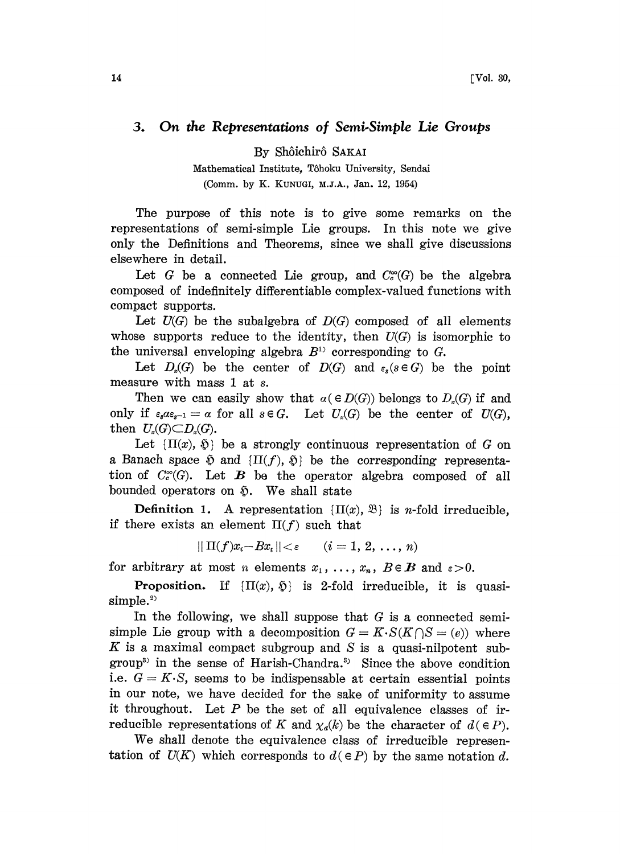## 3. On the Representations of Semi-Simple Lie Groups

By Sh6ichir6 SAKAI

Mathematical Institute, Tôhoku University, Sendai (Comm. by K. KUNUGI, M.J.A., Jan. 12, 1954)

The purpose of this note is to give some remarks on the representations of semi-simple Lie groups. In this note we give only the Definitions and Theorems, since we shall give discussions elsewhere in detail.

Let G be a connected Lie group, and  $C_c^{\infty}(G)$  be the algebra composed of indefinitely differentiable complex-valued functions with compact supports.

Let  $U(G)$  be the subalgebra of  $D(G)$  composed of all elements whose supports reduce to the identity, then  $U(G)$  is isomorphic to the universal enveloping algebra  $B^{1}$  corresponding to G.

Let  $D_{\varepsilon}(G)$  be the center of  $D(G)$  and  $\varepsilon_{\varepsilon}(s \in G)$  be the point measure with mass 1 at s.

Then we can easily show that  $\alpha \in D(G)$  belongs to  $D_{\alpha}(G)$  if and only if  $\varepsilon_s a \varepsilon_{s-1} = a$  for all  $s \in G$ . Let  $U_s(G)$  be the center of  $U(G)$ , then  $U_{\epsilon}(G) \subset D_{\epsilon}(G)$ .

Let  $\{\Pi(x), \delta\}$  be a strongly continuous representation of G on a Banach space  $\delta$  and  $\{\Pi(f), \delta\}$  be the corresponding representation of  $C_c^{\infty}(G)$ . Let B be the operator algebra composed of all bounded operators on  $\tilde{\mathcal{D}}$ . We shall state

**Definition 1.** A representation  $\{ \Pi(x), \mathcal{B} \}$  is *n*-fold irreducible, if there exists an element  $\Pi(f)$  such that

 $|| \Pi(f)x_i-Bx_i || < \varepsilon$   $(i=1, 2, ..., n)$ 

for arbitrary at most *n* elements  $x_1, \ldots, x_n$ ,  $B \in \mathbf{B}$  and  $\varepsilon > 0$ .

**Proposition.** If  $\{\Pi(x), \, \tilde{\mathbf{Q}}\}$  is 2-fold irreducible, it is quasi $simple.<sup>2</sup>$ 

In the following, we shall suppose that  $G$  is a connected semisimple Lie group with a decomposition  $G = K \cdot S(K \cap S = (e))$  where  $K$  is a maximal compact subgroup and  $S$  is a quasi-nilpotent subgroup<sup>3</sup> in the sense of Harish-Chandra.<sup>3</sup> Since the above condition i.e.  $G = K \cdot S$ , seems to be indispensable at certain essential points in our note, we have decided for the sake of uniformity to assume it throughout. Let  $P$  be the set of all equivalence classes of irreducible representations of K and  $\chi_d(k)$  be the character of  $d \in P$ ).

We shall denote the equivalence class of irreducible representation of  $U(K)$  which corresponds to  $d \in P$ ) by the same notation d.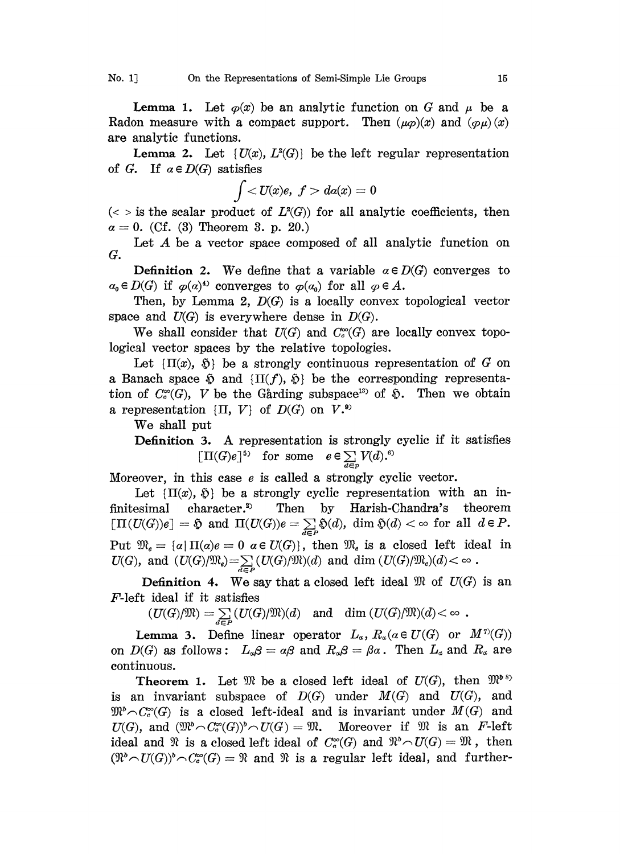**Lemma 1.** Let  $\varphi(x)$  be an analytic function on G and  $\mu$  be a Radon measure with a compact support. Then  $(\mu \varphi)(x)$  and  $(\varphi \mu)(x)$ are analytic functions.

**Lemma 2.** Let  $\{U(x), L^2(G)\}$  be the left regular representation of G. If  $\alpha \in D(G)$  satisfies

$$
\int da(x)=0
$$

 $(<$  > is the scalar product of  $L^2(G)$  for all analytic coefficients, then  $\alpha = 0$ . (Cf. (3) Theorem 3. p. 20.)

Let A be <sup>a</sup> vector space composed of all analytic function on G.

**Definition 2.** We define that a variable  $\alpha \in D(G)$  converges to  $\alpha_0 \in D(G)$  if  $\varphi(\alpha)^4$  converges to  $\varphi(\alpha_0)$  for all  $\varphi \in A$ .

Then, by Lemma 2,  $D(G)$  is a locally convex topological vector space and  $U(G)$  is everywhere dense in  $D(G)$ .

We shall consider that  $U(G)$  and  $C_c^{\infty}(G)$  are locally convex topological vector spaces by the relative topologies.

Let  $\{\Pi(x), \delta\}$  be a strongly continuous representation of G on a Banach space  $\mathfrak{H}$  and  $\{\Pi(f), \mathfrak{H}\}\$  be the corresponding representation of  $C_c^{\infty}(G)$ , V be the Gårding subspace<sup>15</sup> of  $\delta$ . Then we obtain a representation  $\{\Pi, V\}$  of  $D(G)$  on  $V^{(*)}$ 

We shall put

Definition 3. A representation is strongly cyclic if it satisfies  $[\Pi(G)e]^{5}$  for some  $e \in \sum_{d \in p} V(d).^{6}$ 

Moreover, in this case  $e$  is called a strongly cyclic vector.

Let  $\{\Pi(x), \, \tilde{\mathfrak{D}}\}$  be a strongly cyclic representation with an infinitesimal character.<sup>2)</sup> Then by Harish-Chandra's theorem  $[\Pi(U(G))e] = \text{\$ and } \Pi(U(G))e = \sum_{d \in P} \text{\$}(d), \text{ dim } \text{\$}(d) < \infty \text{ for all } d \in P.$ Put  $\mathfrak{M}_e = \{a | \Pi(a)e = 0 \text{ a } \in U(G)\}\$ , then  $\mathfrak{M}_e$  is a closed left ideal in

Put  $\mathfrak{M}_e = \{a | \Pi(a)e = 0 \text{ a } \in U(G)\}$ , then  $\mathfrak{M}_e$  is a closed left ideal in  $U(G)$ , and  $(U(G)/\mathfrak{M}_e) = \sum_{d \in P} (U(G)/\mathfrak{M})(d)$  and dim  $(U(G)/\mathfrak{M}_e)(d) < \infty$ .<br>Definition 4. We say that a closed left ideal  $\mathfrak{M}$  of  $U(G$ **Definition 4.** We say that a closed left ideal  $\mathfrak{M}$  of  $U(G)$  is an F-left ideal if it satisfies

 $(U(G)/\mathfrak{M}) = \sum_{d \in P} (U(G)/\mathfrak{M})(d)$  and  $\dim (U(G)/\mathfrak{M})(d) < \infty$ .

**Lemma 3.** Define linear operator  $L_{\alpha}$ ,  $R_{\alpha}(\alpha \in U(G))$  or  $M^{\gamma}(G)$ on  $D(G)$  as follows:  $L_{\alpha}\beta = \alpha\beta$  and  $R_{\alpha}\beta = \beta\alpha$ . Then  $L_{\alpha}$  and  $R_{\alpha}$  are continuous.

**Theorem 1.** Let  $\mathfrak{M}$  be a closed left ideal of  $U(G)$ , then  $\mathfrak{M}^{\delta S}$ is an invariant subspace of  $D(G)$  under  $M(G)$  and  $U(G)$ , and  $\mathfrak{M}^b \cap C_c^{\infty}(G)$  is a closed left-ideal and is invariant under  $M(G)$  and  $U(G)$ , and  $(\mathfrak{M}^{\circ} \cap C^{\infty}_c(G))^{\circ} \cap U(G) = \mathfrak{M}$ . Moreover if  $\mathfrak{M}$  is an F-left ideal and  $\mathfrak{R}$  is a closed left ideal of  $C_c^{\infty}(G)$  and  $\mathfrak{R}^b \cap U(G) = \mathfrak{M}$ , then  $(\mathfrak{N}\circ U(G))^{\flat}\cap C_{\sigma}^{\infty}(G)=\mathfrak{N}$  and  $\mathfrak{N}$  is a regular left ideal, and further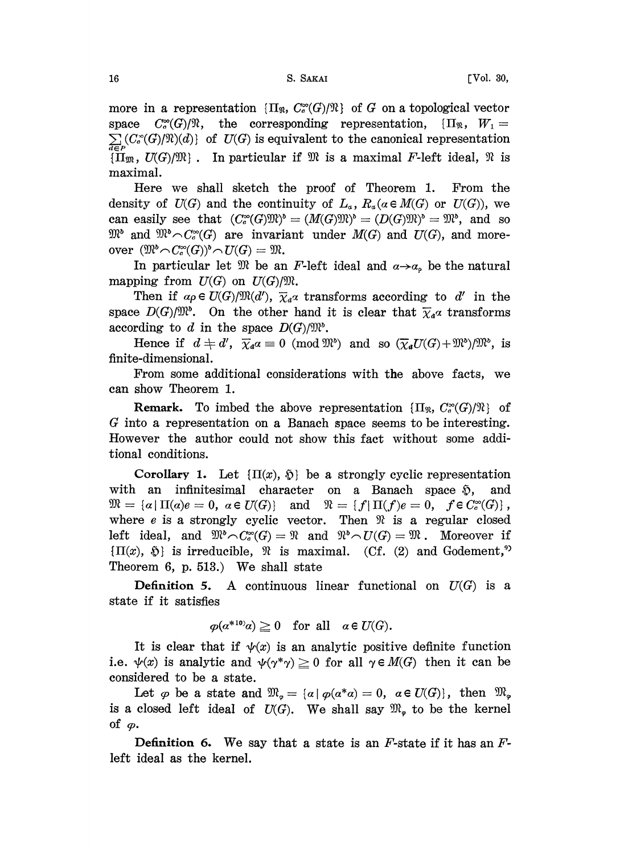more in a representation  ${\Pi_{\mathfrak{R}}}, C_c^{\infty}(G)/\mathfrak{R}$  of G on a topological vector space  $C_c^{\infty}(G)/\mathbb{R}$ , the corresponding representation,  $\{\Pi_{\mathbb{R}}, W_1 =$  $\sum_{d \in P} (C^{\infty}_c(G)/\mathcal{V}(d))$  of  $U(G)$  is equivalent to the canonical representation  ${\{\Pi_m, U(G)/m\}}$ . In particular if  $m$  is a maximal F-left ideal,  $m$  is maximal.

Here we shall sketch the proof of Theorem 1. From the density of  $U(G)$  and the continuity of  $L_a$ ,  $R_a(\alpha \in M(G))$  or  $U(G)$ ), we can easily see that  $(C_c^{\infty}(G)) \mathbb{Y})^{\circ} = (M(G)) \mathbb{Y})^{\circ} = (D(G)) \mathbb{Y})^{\circ} = \mathbb{Y}^{\circ}$ , and so can easily see that  $(C_c^*(G) \mathcal{U}c) = (\mathcal{U}(G) \mathcal{U}c) = (\mathcal{U}(G) \mathcal{U}c) = \mathcal{U}c$ , and so<br>  $\mathcal{W}^b$  and  $\mathcal{W}^b \cap C_c^{\infty}(G)$  are invariant under  $M(G)$  and  $U(G)$ , and more-<br>
over  $(\mathcal{W}^b \cap C_c^{\infty}(G))^b \cap U(G) = \mathcal{W}$ .<br>
In par

In particular let  $\mathfrak{M}$  be an F-left ideal and  $\alpha \rightarrow \alpha$ , be the natural mapping from  $U(G)$  on  $U(G)/\mathfrak{M}$ .

Then if  $a\rho \in U(G)/\mathfrak{M}(d')$ ,  $\overline{\chi}_a\alpha$  transforms according to d' in the space  $D(G)/\mathfrak{M}^{\circ}$ . On the other hand it is clear that  $\overline{\chi}_a \alpha$  transforms according to d in the space  $D(G)/\mathfrak{M}^b$ .

Hence if  $d \neq d'$ ,  $\overline{\chi}_a a \equiv 0 \pmod{\mathfrak{M}^b}$  and so  $(\overline{\chi}_a U(G) + \mathfrak{M}^b)/\mathfrak{M}^b$ , is finite-dimensional.

From some additional considerations with the above facts, we can show Theorem 1.

**Remark.** To imbed the above representation  $\{\Pi_{\mathcal{R}}, C_c^{\infty}(G)/\mathcal{R}\}\$  of G into a representation on a Banach space seems to be interesting. However the author could not show this fact without some additional conditions.

Corollary 1. Let  $\{\Pi(x), \delta\}$  be a strongly cyclic representation with an infinitesimal character on a Banach space  $\mathfrak{D}$ , and  $\mathfrak{M} = {\alpha | \Pi(\alpha)e = 0, \ \alpha \in U(G)}$  and  $\mathfrak{N} = {f | \Pi(f)e = 0, \ f \in C_c^{\infty}(G)}$ , where  $e$  is a strongly cyclic vector. Then  $\mathcal X$  is a regular closed left ideal, and  $\mathfrak{M}^b {\frown} C_c^{\infty}(G) = \mathfrak{N}$  and  $\mathfrak{N}^b {\frown} U(G) = \mathfrak{M}$ . Moreover if  ${\Pi(x), \, \tilde{\mathfrak{D}}}$  is irreducible,  $\mathfrak{R}$  is maximal. (Cf. (2) and Godement,<sup>9)</sup> Theorem 6, p. 513.) We shall state

**Definition 5.** A continuous linear functional on  $U(G)$  is a state if it satisfies

$$
\varphi(a^{*10)}a) \geq 0 \quad \text{for all} \quad a \in U(G).
$$

It is clear that if  $\psi(x)$  is an analytic positive definite function i.e.  $\psi(x)$  is analytic and  $\psi(\gamma^*\gamma) \ge 0$  for all  $\gamma \in M(G)$  then it can be considered to be a state.

Let  $\varphi$  be a state and  $\mathfrak{M}_{\varphi} = {\{\alpha \mid \varphi(a^*a)=0, \alpha \in U(G) \}}$ , then  $\mathfrak{M}_{\varphi}$ is a closed left ideal of  $U(G)$ . We shall say  $\mathfrak{M}_{\bullet}$  to be the kernel of  $\varphi$ .

**Definition 6.** We say that a state is an  $F$ -state if it has an  $F$ left ideal as the kernel.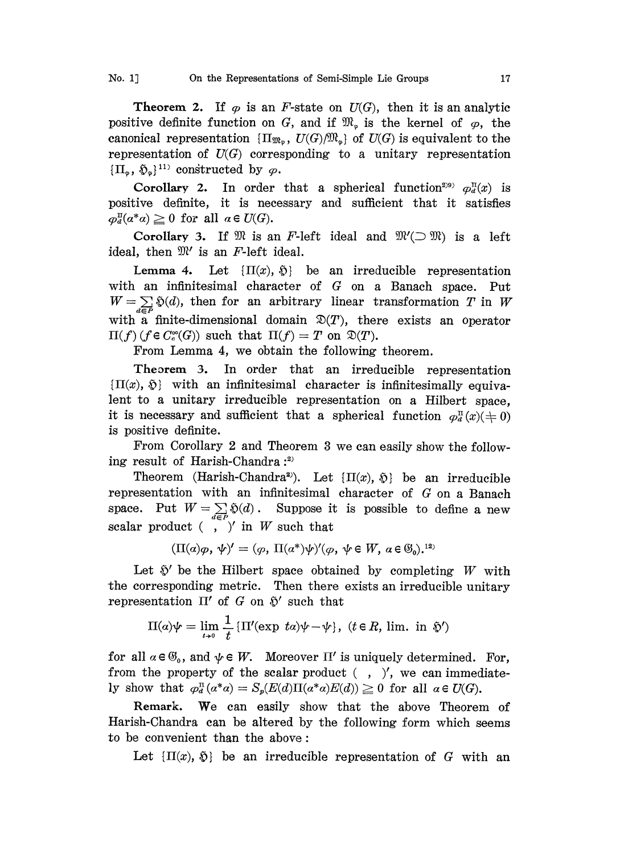**Theorem 2.** If  $\varphi$  is an F-state on  $U(G)$ , then it is an analytic positive definite function on G, and if  $\mathfrak{M}_\circ$  is the kernel of  $\varphi$ , the canonical representation  ${\Pi_{\mathfrak{M}_{\varphi}}}, U(G)/\mathfrak{M}_{\varphi}$  of  $U(G)$  is equivalent to the representation of  $U(G)$  corresponding to a unitary representation  ${\{\Pi_{\phi}, \tilde{\Phi}_{\phi}\}}^{11}$  constructed by  $\varphi$ .

Corollary 2. In order that a spherical function<sup>299</sup>  $\varphi_d^{\text{II}}(x)$  is positive definite, it is necessary and sufficient that it satisfies  $\varphi_d^{\text{II}}(a^*a) \geq 0$  for all  $a \in U(G)$ .

Corollary 3. If  $\mathfrak{M}$  is an F-left ideal and  $\mathfrak{M}'(\supset \mathfrak{M})$  is a left ideal, then  $\mathfrak{M}'$  is an F-left ideal.

Lemma 4. Let  $\{\Pi(x), \, \hat{\mathfrak{D}}\}$  be an irreducible representation with an infinitesimal character of G on <sup>a</sup> Banach space. Put  $W=\sum_{d\in\mathcal{P}}\mathfrak{H}(d)$ , then for an arbitrary linear transformation T in W with a finite-dimensional domain  $\mathfrak{D}(T)$ , there exists an operator  $\Pi(f)$  (f  $\in C_c^{\infty}(G)$ ) such that  $\Pi(f)=T$  on  $\mathfrak{D}(T)$ .

From Lemma 4, we obtain the following theorem.

Theorem 3. In order that an irreducible representation  $\{\Pi(x), \, \tilde{\mathfrak{D}}\}$  with an infinitesimal character is infinitesimally equivalent to a unitary irreducible representation on a Hilbert space, it is necessary and sufficient that a spherical function  $\varphi_a^{\text{II}}(x)$ ( $\neq 0$ ) is positive definite.

From Corollary 2 and Theorem <sup>3</sup> we can easily show the following result of Harish-Chandra  $:$ <sup>2)</sup>

Theorem (Harish-Chandra<sup>2</sup>). Let  $\{\Pi(x), \, \tilde{\mathfrak{D}}\}$  be an irreducible representation with an infinitesimal character of G on a Banach space. Put  $W=\sum_{d\in P}\mathfrak{H}(d)$ . Suppose it is possible to define a new scalar product  $(\cdot, \cdot)'$  in W such that

 $(\Pi(\alpha)\varphi,\psi)'=(\varphi,\Pi(\alpha^*)\psi)'(\varphi,\psi\in W,\alpha\in\mathbb{G}_{\alpha}).^{12}$ 

Let  $\tilde{\mathcal{D}}'$  be the Hilbert space obtained by completing W with he corresponding metric. Then there exists an irreducible unitary representation  $\Pi'$  of G on  $\tilde{\mathcal{D}}'$  such that

$$
\Pi(\alpha)\psi = \lim_{t \to 0} \frac{1}{t} \{\Pi'(\exp t\alpha)\psi - \psi\}, \ (t \in R, \text{lim. in } \mathfrak{H}')
$$

for all  $\alpha \in \mathfrak{G}_0$ , and  $\psi \in W$ . Moreover  $\Pi'$  is uniquely determined. For, from the property of the scalar product  $($ ,  $)'$ , we can immediately show that  $\varphi_a^{\text{II}}(\alpha^* \alpha) = S_p(E(d) \Pi(\alpha^* \alpha)E(d)) \geq 0$  for all  $\alpha \in U(G)$ .

Remark. We can easily show that the above Theorem of Harish-Chandra can be altered by the following form which seems to be convenient than the above:

Let  $\{\Pi(x), \delta\}$  be an irreducible representation of G with an